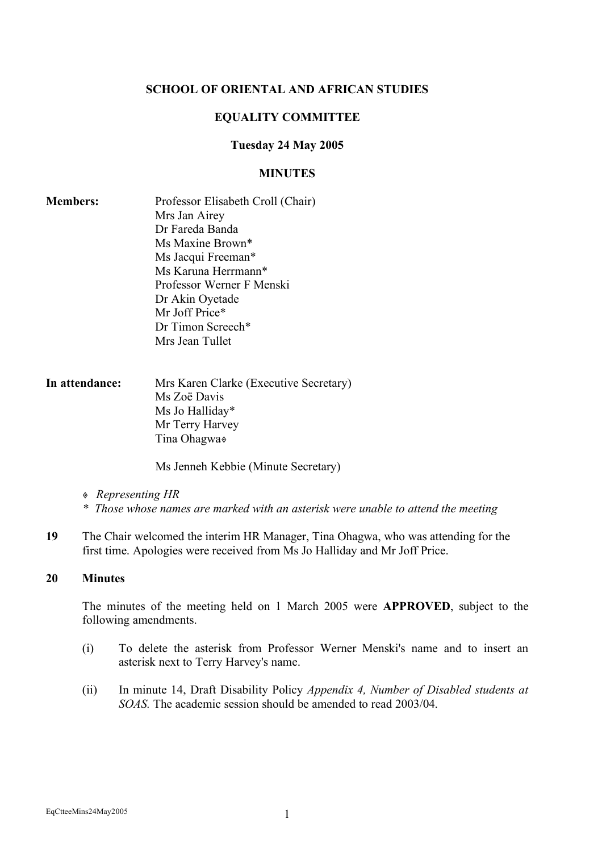#### **SCHOOL OF ORIENTAL AND AFRICAN STUDIES**

#### **EQUALITY COMMITTEE**

#### **Tuesday 24 May 2005**

#### **MINUTES**

| <b>Members:</b> | Professor Elisabeth Croll (Chair) |
|-----------------|-----------------------------------|
|                 | Mrs Jan Airey                     |
|                 | Dr Fareda Banda                   |
|                 | Ms Maxine Brown*                  |
|                 | Ms Jacqui Freeman*                |
|                 | Ms Karuna Herrmann*               |
|                 | Professor Werner F Menski         |
|                 | Dr Akin Oyetade                   |
|                 | Mr Joff Price*                    |
|                 | Dr Timon Screech*                 |
|                 | Mrs Jean Tullet                   |
|                 |                                   |

## **In attendance:** Mrs Karen Clarke (Executive Secretary) Ms Zoë Davis Ms Jo Halliday\* Mr Terry Harvey Tina Ohagwa

Ms Jenneh Kebbie (Minute Secretary)

- *Representing HR*
- *\* Those whose names are marked with an asterisk were unable to attend the meeting*
- **19** The Chair welcomed the interim HR Manager, Tina Ohagwa, who was attending for the first time. Apologies were received from Ms Jo Halliday and Mr Joff Price.

### **20 Minutes**

The minutes of the meeting held on 1 March 2005 were **APPROVED**, subject to the following amendments.

- (i) To delete the asterisk from Professor Werner Menski's name and to insert an asterisk next to Terry Harvey's name.
- (ii) In minute 14, Draft Disability Policy *Appendix 4, Number of Disabled students at SOAS.* The academic session should be amended to read 2003/04.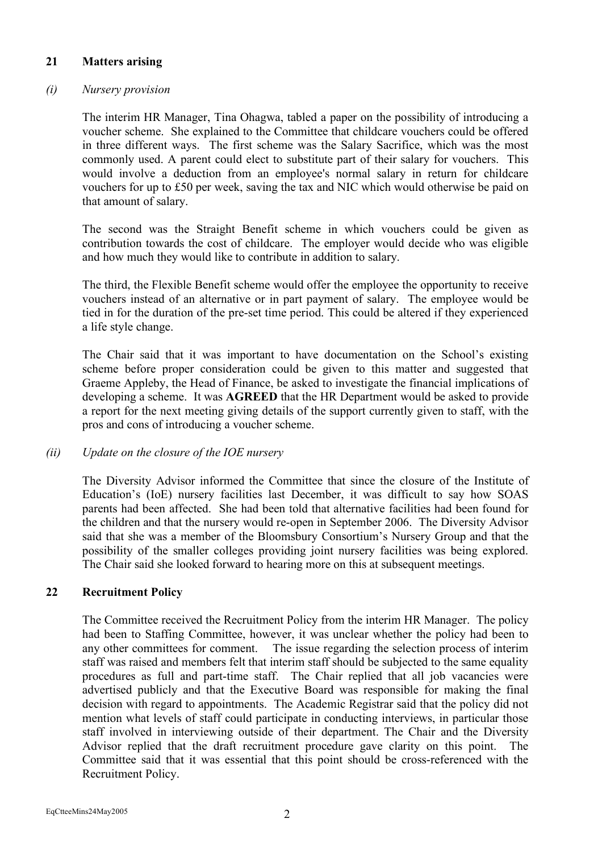# **21 Matters arising**

## *(i) Nursery provision*

The interim HR Manager, Tina Ohagwa, tabled a paper on the possibility of introducing a voucher scheme. She explained to the Committee that childcare vouchers could be offered in three different ways. The first scheme was the Salary Sacrifice, which was the most commonly used. A parent could elect to substitute part of their salary for vouchers. This would involve a deduction from an employee's normal salary in return for childcare vouchers for up to £50 per week, saving the tax and NIC which would otherwise be paid on that amount of salary.

The second was the Straight Benefit scheme in which vouchers could be given as contribution towards the cost of childcare. The employer would decide who was eligible and how much they would like to contribute in addition to salary.

The third, the Flexible Benefit scheme would offer the employee the opportunity to receive vouchers instead of an alternative or in part payment of salary. The employee would be tied in for the duration of the pre-set time period. This could be altered if they experienced a life style change.

The Chair said that it was important to have documentation on the School's existing scheme before proper consideration could be given to this matter and suggested that Graeme Appleby, the Head of Finance, be asked to investigate the financial implications of developing a scheme. It was **AGREED** that the HR Department would be asked to provide a report for the next meeting giving details of the support currently given to staff, with the pros and cons of introducing a voucher scheme.

### *(ii) Update on the closure of the IOE nursery*

The Diversity Advisor informed the Committee that since the closure of the Institute of Education's (IoE) nursery facilities last December, it was difficult to say how SOAS parents had been affected. She had been told that alternative facilities had been found for the children and that the nursery would re-open in September 2006. The Diversity Advisor said that she was a member of the Bloomsbury Consortium's Nursery Group and that the possibility of the smaller colleges providing joint nursery facilities was being explored. The Chair said she looked forward to hearing more on this at subsequent meetings.

# **22 Recruitment Policy**

The Committee received the Recruitment Policy from the interim HR Manager. The policy had been to Staffing Committee, however, it was unclear whether the policy had been to any other committees for comment. The issue regarding the selection process of interim staff was raised and members felt that interim staff should be subjected to the same equality procedures as full and part-time staff. The Chair replied that all job vacancies were advertised publicly and that the Executive Board was responsible for making the final decision with regard to appointments. The Academic Registrar said that the policy did not mention what levels of staff could participate in conducting interviews, in particular those staff involved in interviewing outside of their department. The Chair and the Diversity Advisor replied that the draft recruitment procedure gave clarity on this point. The Committee said that it was essential that this point should be cross-referenced with the Recruitment Policy.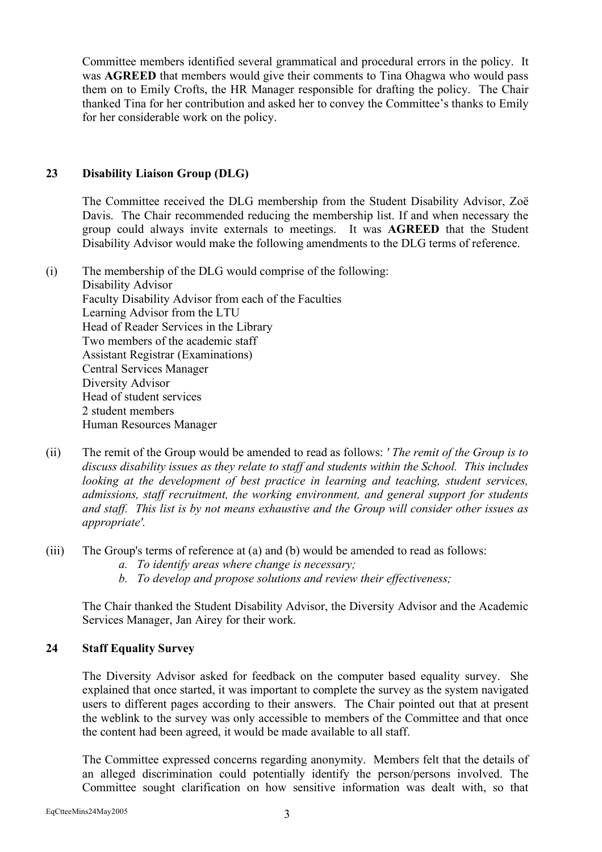Committee members identified several grammatical and procedural errors in the policy. It was **AGREED** that members would give their comments to Tina Ohagwa who would pass them on to Emily Crofts, the HR Manager responsible for drafting the policy. The Chair thanked Tina for her contribution and asked her to convey the Committee's thanks to Emily for her considerable work on the policy.

# **23 Disability Liaison Group (DLG)**

The Committee received the DLG membership from the Student Disability Advisor, Zoë Davis. The Chair recommended reducing the membership list. If and when necessary the group could always invite externals to meetings. It was **AGREED** that the Student Disability Advisor would make the following amendments to the DLG terms of reference.

(i) The membership of the DLG would comprise of the following: Disability Advisor Faculty Disability Advisor from each of the Faculties Learning Advisor from the LTU Head of Reader Services in the Library Two members of the academic staff Assistant Registrar (Examinations) Central Services Manager Diversity Advisor Head of student services 2 student members Human Resources Manager

- (ii) The remit of the Group would be amended to read as follows: *' The remit of the Group is to discuss disability issues as they relate to staff and students within the School. This includes looking at the development of best practice in learning and teaching, student services, admissions, staff recruitment, the working environment, and general support for students and staff. This list is by not means exhaustive and the Group will consider other issues as appropriate'.*
- (iii) The Group's terms of reference at (a) and (b) would be amended to read as follows:
	- *a. To identify areas where change is necessary;*
	- *b. To develop and propose solutions and review their effectiveness;*

The Chair thanked the Student Disability Advisor, the Diversity Advisor and the Academic Services Manager, Jan Airey for their work.

# **24 Staff Equality Survey**

The Diversity Advisor asked for feedback on the computer based equality survey. She explained that once started, it was important to complete the survey as the system navigated users to different pages according to their answers. The Chair pointed out that at present the weblink to the survey was only accessible to members of the Committee and that once the content had been agreed, it would be made available to all staff.

The Committee expressed concerns regarding anonymity. Members felt that the details of an alleged discrimination could potentially identify the person/persons involved. The Committee sought clarification on how sensitive information was dealt with, so that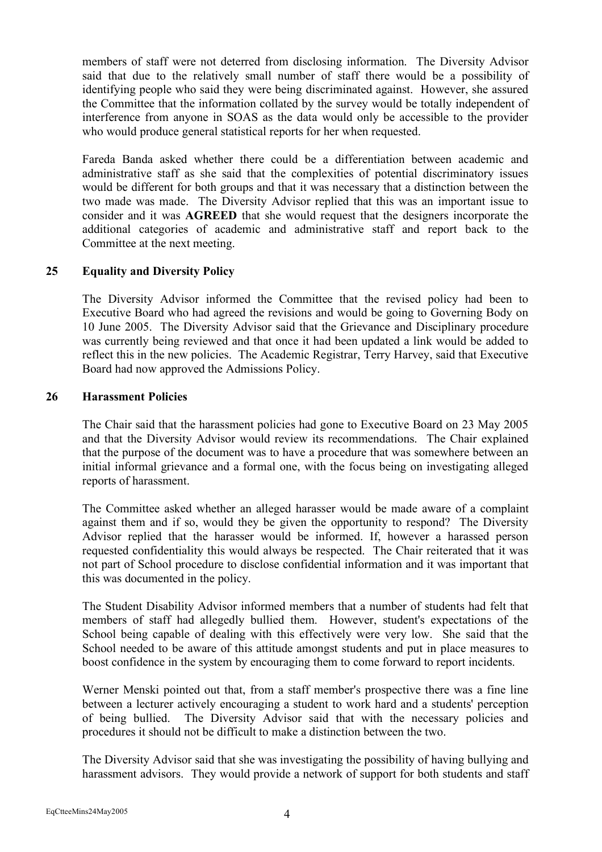members of staff were not deterred from disclosing information. The Diversity Advisor said that due to the relatively small number of staff there would be a possibility of identifying people who said they were being discriminated against. However, she assured the Committee that the information collated by the survey would be totally independent of interference from anyone in SOAS as the data would only be accessible to the provider who would produce general statistical reports for her when requested.

Fareda Banda asked whether there could be a differentiation between academic and administrative staff as she said that the complexities of potential discriminatory issues would be different for both groups and that it was necessary that a distinction between the two made was made. The Diversity Advisor replied that this was an important issue to consider and it was **AGREED** that she would request that the designers incorporate the additional categories of academic and administrative staff and report back to the Committee at the next meeting.

# **25 Equality and Diversity Policy**

The Diversity Advisor informed the Committee that the revised policy had been to Executive Board who had agreed the revisions and would be going to Governing Body on 10 June 2005. The Diversity Advisor said that the Grievance and Disciplinary procedure was currently being reviewed and that once it had been updated a link would be added to reflect this in the new policies. The Academic Registrar, Terry Harvey, said that Executive Board had now approved the Admissions Policy.

### **26 Harassment Policies**

The Chair said that the harassment policies had gone to Executive Board on 23 May 2005 and that the Diversity Advisor would review its recommendations. The Chair explained that the purpose of the document was to have a procedure that was somewhere between an initial informal grievance and a formal one, with the focus being on investigating alleged reports of harassment.

The Committee asked whether an alleged harasser would be made aware of a complaint against them and if so, would they be given the opportunity to respond? The Diversity Advisor replied that the harasser would be informed. If, however a harassed person requested confidentiality this would always be respected. The Chair reiterated that it was not part of School procedure to disclose confidential information and it was important that this was documented in the policy.

The Student Disability Advisor informed members that a number of students had felt that members of staff had allegedly bullied them. However, student's expectations of the School being capable of dealing with this effectively were very low. She said that the School needed to be aware of this attitude amongst students and put in place measures to boost confidence in the system by encouraging them to come forward to report incidents.

Werner Menski pointed out that, from a staff member's prospective there was a fine line between a lecturer actively encouraging a student to work hard and a students' perception of being bullied. The Diversity Advisor said that with the necessary policies and procedures it should not be difficult to make a distinction between the two.

The Diversity Advisor said that she was investigating the possibility of having bullying and harassment advisors. They would provide a network of support for both students and staff